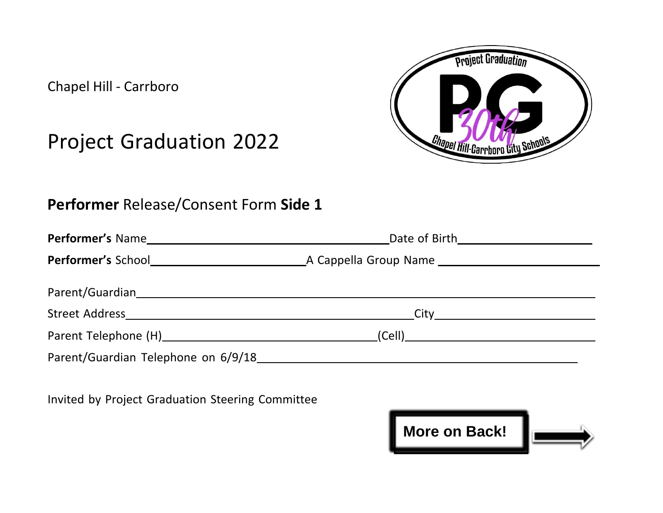

Chapel Hill - Carrboro

## Project Graduation 2022

## **Performer** Release/Consent Form **Side 1**

Invited by Project Graduation Steering Committee